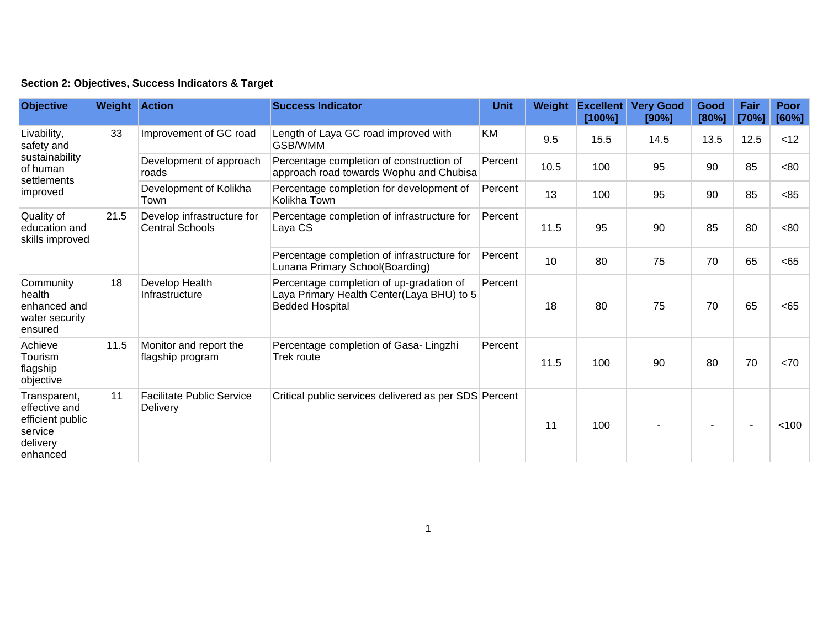| Section 2: Objectives, Success Indicators & Target |  |  |  |  |  |  |
|----------------------------------------------------|--|--|--|--|--|--|
|----------------------------------------------------|--|--|--|--|--|--|

| <b>Objective</b>                                                                     | <b>Weight Action</b> |                                                      | <b>Success Indicator</b>                                                                                        | <b>Unit</b> | Weight | <b>Excellent</b><br>[100%] | <b>Very Good</b><br>[90%] | Good<br>[80%] | Fair<br>[70%] | <b>Poor</b><br>[60%] |
|--------------------------------------------------------------------------------------|----------------------|------------------------------------------------------|-----------------------------------------------------------------------------------------------------------------|-------------|--------|----------------------------|---------------------------|---------------|---------------|----------------------|
| Livability,<br>safety and                                                            | 33                   | Improvement of GC road                               | Length of Laya GC road improved with<br>GSB/WMM                                                                 | <b>KM</b>   | 9.5    | 15.5                       | 14.5                      | 13.5          | 12.5          | <12                  |
| sustainability<br>of human<br>settlements                                            |                      | Development of approach<br>roads                     | Percentage completion of construction of<br>approach road towards Wophu and Chubisa                             | Percent     | 10.5   | 100                        | 95                        | 90            | 85            | <80                  |
| improved                                                                             |                      | Development of Kolikha<br>Town                       | Percentage completion for development of<br>Kolikha Town                                                        | Percent     | 13     | 100                        | 95                        | 90            | 85            | <85                  |
| Quality of<br>education and<br>skills improved                                       | 21.5                 | Develop infrastructure for<br><b>Central Schools</b> | Percentage completion of infrastructure for<br>Laya CS                                                          | Percent     | 11.5   | 95                         | 90                        | 85            | 80            | <80                  |
|                                                                                      |                      |                                                      | Percentage completion of infrastructure for<br>Lunana Primary School(Boarding)                                  | Percent     | 10     | 80                         | 75                        | 70            | 65            | <65                  |
| Community<br>health<br>enhanced and<br>water security<br>ensured                     | 18                   | Develop Health<br>Infrastructure                     | Percentage completion of up-gradation of<br>Laya Primary Health Center(Laya BHU) to 5<br><b>Bedded Hospital</b> | Percent     | 18     | 80                         | 75                        | 70            | 65            | <65                  |
| Achieve<br>Tourism<br>flagship<br>objective                                          | 11.5                 | Monitor and report the<br>flagship program           | Percentage completion of Gasa-Lingzhi<br>Trek route                                                             | Percent     | 11.5   | 100                        | 90                        | 80            | 70            | <70                  |
| Transparent,<br>effective and<br>efficient public<br>service<br>delivery<br>enhanced | 11                   | <b>Facilitate Public Service</b><br>Delivery         | Critical public services delivered as per SDS Percent                                                           |             | 11     | 100                        |                           |               |               | < 100                |